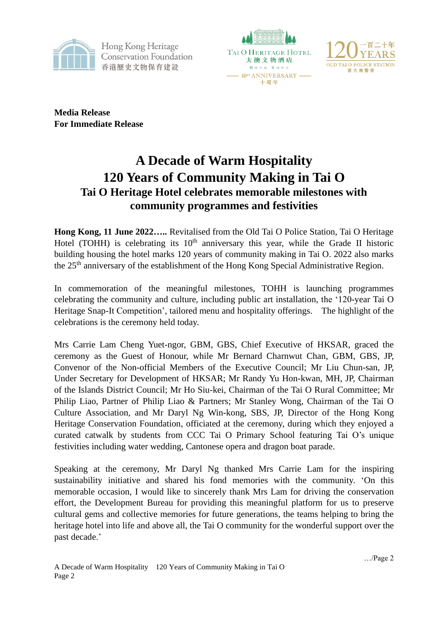

Hong Kong Heritage **Conservation Foundation** 香港歷史文物保育建設





**Media Release For Immediate Release**

## **A Decade of Warm Hospitality 120 Years of Community Making in Tai O Tai O Heritage Hotel celebrates memorable milestones with community programmes and festivities**

**Hong Kong, 11 June 2022…..** Revitalised from the Old Tai O Police Station, Tai O Heritage Hotel (TOHH) is celebrating its  $10<sup>th</sup>$  anniversary this year, while the Grade II historic building housing the hotel marks 120 years of community making in Tai O. 2022 also marks the 25<sup>th</sup> anniversary of the establishment of the Hong Kong Special Administrative Region.

In commemoration of the meaningful milestones, TOHH is launching programmes celebrating the community and culture, including public art installation, the '120-year Tai O Heritage Snap-It Competition', tailored menu and hospitality offerings. The highlight of the celebrations is the ceremony held today.

Mrs Carrie Lam Cheng Yuet-ngor, GBM, GBS, Chief Executive of HKSAR, graced the ceremony as the Guest of Honour, while Mr Bernard Charnwut Chan, GBM, GBS, JP, Convenor of the Non-official Members of the Executive Council; Mr Liu Chun-san, JP, Under Secretary for Development of HKSAR; Mr Randy Yu Hon-kwan, MH, JP, Chairman of the Islands District Council; Mr Ho Siu-kei, Chairman of the Tai O Rural Committee; Mr Philip Liao, Partner of Philip Liao & Partners; Mr Stanley Wong, Chairman of the Tai O Culture Association, and Mr Daryl Ng Win-kong, SBS, JP, Director of the Hong Kong Heritage Conservation Foundation, officiated at the ceremony, during which they enjoyed a curated catwalk by students from CCC Tai O Primary School featuring Tai O's unique festivities including water wedding, Cantonese opera and dragon boat parade.

Speaking at the ceremony, Mr Daryl Ng thanked Mrs Carrie Lam for the inspiring sustainability initiative and shared his fond memories with the community. 'On this memorable occasion, I would like to sincerely thank Mrs Lam for driving the conservation effort, the Development Bureau for providing this meaningful platform for us to preserve cultural gems and collective memories for future generations, the teams helping to bring the heritage hotel into life and above all, the Tai O community for the wonderful support over the past decade.'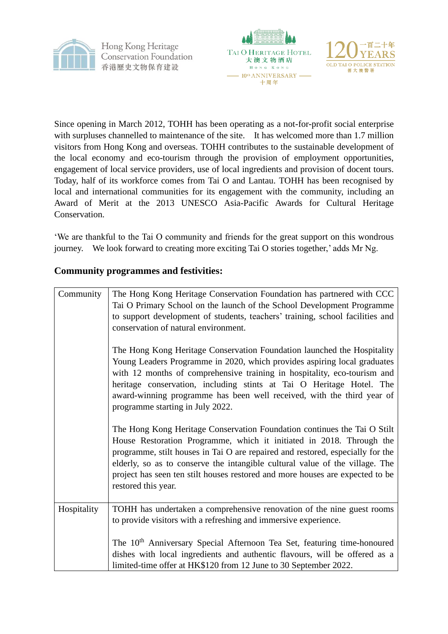





Since opening in March 2012, TOHH has been operating as a not-for-profit social enterprise with surpluses channelled to maintenance of the site. It has welcomed more than 1.7 million visitors from Hong Kong and overseas. TOHH contributes to the sustainable development of the local economy and eco-tourism through the provision of employment opportunities, engagement of local service providers, use of local ingredients and provision of docent tours. Today, half of its workforce comes from Tai O and Lantau. TOHH has been recognised by local and international communities for its engagement with the community, including an Award of Merit at the 2013 UNESCO Asia-Pacific Awards for Cultural Heritage Conservation.

'We are thankful to the Tai O community and friends for the great support on this wondrous journey. We look forward to creating more exciting Tai O stories together,' adds Mr Ng.

### **Community programmes and festivities:**

| Community   | The Hong Kong Heritage Conservation Foundation has partnered with CCC<br>Tai O Primary School on the launch of the School Development Programme<br>to support development of students, teachers' training, school facilities and<br>conservation of natural environment.                                                                                                                                                   |
|-------------|----------------------------------------------------------------------------------------------------------------------------------------------------------------------------------------------------------------------------------------------------------------------------------------------------------------------------------------------------------------------------------------------------------------------------|
|             | The Hong Kong Heritage Conservation Foundation launched the Hospitality<br>Young Leaders Programme in 2020, which provides aspiring local graduates<br>with 12 months of comprehensive training in hospitality, eco-tourism and<br>heritage conservation, including stints at Tai O Heritage Hotel. The<br>award-winning programme has been well received, with the third year of<br>programme starting in July 2022.      |
|             | The Hong Kong Heritage Conservation Foundation continues the Tai O Stilt<br>House Restoration Programme, which it initiated in 2018. Through the<br>programme, stilt houses in Tai O are repaired and restored, especially for the<br>elderly, so as to conserve the intangible cultural value of the village. The<br>project has seen ten stilt houses restored and more houses are expected to be<br>restored this year. |
| Hospitality | TOHH has undertaken a comprehensive renovation of the nine guest rooms<br>to provide visitors with a refreshing and immersive experience.<br>The 10 <sup>th</sup> Anniversary Special Afternoon Tea Set, featuring time-honoured                                                                                                                                                                                           |
|             | dishes with local ingredients and authentic flavours, will be offered as a<br>limited-time offer at HK\$120 from 12 June to 30 September 2022.                                                                                                                                                                                                                                                                             |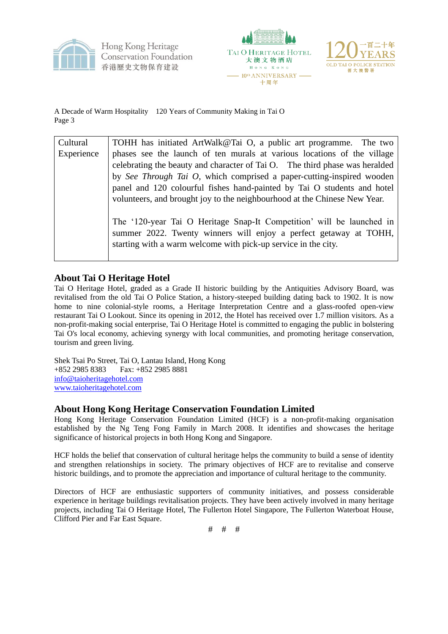

Hong Kong Heritage **Conservation Foundation** 香港歷史文物保育建設





A Decade of Warm Hospitality 120 Years of Community Making in Tai O Page 3

| Cultural   | TOHH has initiated ArtWalk@Tai O, a public art programme. The two                                                                                                                                            |  |  |  |
|------------|--------------------------------------------------------------------------------------------------------------------------------------------------------------------------------------------------------------|--|--|--|
| Experience | phases see the launch of ten murals at various locations of the village                                                                                                                                      |  |  |  |
|            | celebrating the beauty and character of Tai O. The third phase was heralded<br>by See Through Tai O, which comprised a paper-cutting-inspired wooden                                                         |  |  |  |
|            |                                                                                                                                                                                                              |  |  |  |
|            | panel and 120 colourful fishes hand-painted by Tai O students and hotel                                                                                                                                      |  |  |  |
|            | volunteers, and brought joy to the neighbourhood at the Chinese New Year.                                                                                                                                    |  |  |  |
|            | The '120-year Tai O Heritage Snap-It Competition' will be launched in<br>summer 2022. Twenty winners will enjoy a perfect getaway at TOHH,<br>starting with a warm welcome with pick-up service in the city. |  |  |  |

#### **About Tai O Heritage Hotel**

Tai O Heritage Hotel, graded as a Grade II historic building by the Antiquities Advisory Board, was revitalised from the old Tai O Police Station, a history-steeped building dating back to 1902. It is now home to nine colonial-style rooms, a Heritage Interpretation Centre and a glass-roofed open-view restaurant Tai O Lookout. Since its opening in 2012, the Hotel has received over 1.7 million visitors. As a non-profit-making social enterprise, Tai O Heritage Hotel is committed to engaging the public in bolstering Tai O's local economy, achieving synergy with local communities, and promoting heritage conservation, tourism and green living.

Shek Tsai Po Street, Tai O, Lantau Island, Hong Kong +852 2985 8383 Fax: +852 2985 8881 [info@taioheritagehotel.com](mailto:info@taioheritagehotel.com) [www.taioheritagehotel.com](http://www.taioheritagehotel.com/)

#### **About Hong Kong Heritage Conservation Foundation Limited**

Hong Kong Heritage Conservation Foundation Limited (HCF) is a non-profit-making organisation established by the Ng Teng Fong Family in March 2008. It identifies and showcases the heritage significance of historical projects in both Hong Kong and Singapore.

HCF holds the belief that conservation of cultural heritage helps the community to build a sense of identity and strengthen relationships in society. The primary objectives of HCF are to revitalise and conserve historic buildings, and to promote the appreciation and importance of cultural heritage to the community.

Directors of HCF are enthusiastic supporters of community initiatives, and possess considerable experience in heritage buildings revitalisation projects. They have been actively involved in many heritage projects, including Tai O Heritage Hotel, The Fullerton Hotel Singapore, The Fullerton Waterboat House, Clifford Pier and Far East Square.

# # #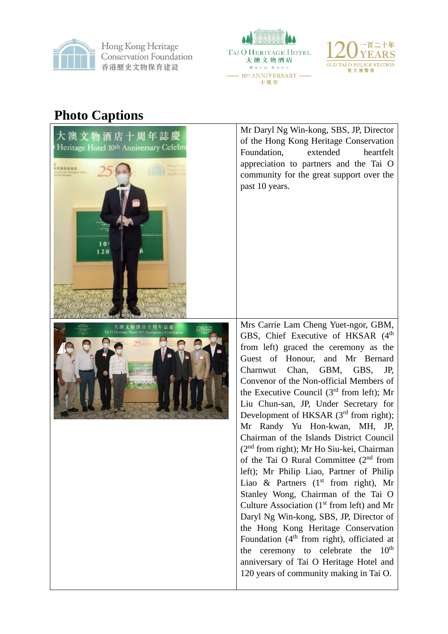

Hong Kong Heritage **Conservation Foundation** 香港歷史文物保育建設





# **Photo Captions**

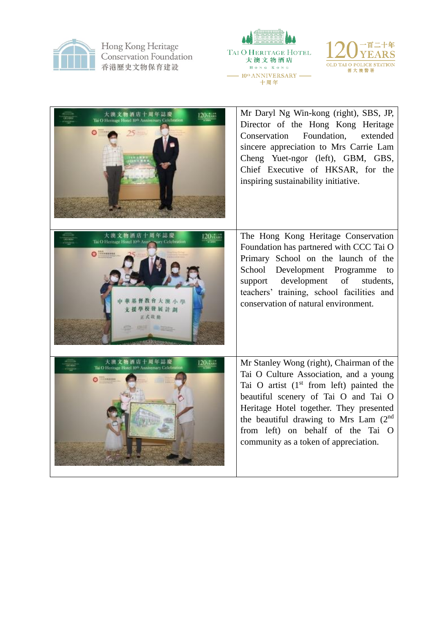

Hong Kong Heritage<br>Conservation Foundation 香港歷史文物保育建設





| 物酒店十周年誌慶<br>Thi O Heritage Hotel 10th Anniversary Celebration                                                                                              | Mr Daryl Ng Win-kong (right), SBS, JP,<br>Director of the Hong Kong Heritage<br>Foundation,<br>extended<br>Conservation<br>sincere appreciation to Mrs Carrie Lam<br>Cheng Yuet-ngor (left), GBM, GBS,<br>Chief Executive of HKSAR, for the<br>inspiring sustainability initiative.                                                                      |
|------------------------------------------------------------------------------------------------------------------------------------------------------------|----------------------------------------------------------------------------------------------------------------------------------------------------------------------------------------------------------------------------------------------------------------------------------------------------------------------------------------------------------|
| 大澳文物酒店十周年誌慶<br>$120$ <sub>year</sub><br>Thi O Heritage Hotel 10th Ann<br>urv Celebrition<br><b>California</b><br>督教會大渡小學<br>學校發展計劃<br>正式收益<br><b>STORY</b> | The Hong Kong Heritage Conservation<br>Foundation has partnered with CCC Tai O<br>Primary School on the launch of the<br>School Development Programme to<br>support development of<br>students,<br>teachers' training, school facilities and<br>conservation of natural environment.                                                                     |
| 大澳文物酒店十周年誌慶<br>$120$ <sub>1</sub><br>Tai O Heritage Hotel 10th Anniversary Celebration<br>$\Omega$ interest                                                | Mr Stanley Wong (right), Chairman of the<br>Tai O Culture Association, and a young<br>Tai O artist $(1st$ from left) painted the<br>beautiful scenery of Tai O and Tai O<br>Heritage Hotel together. They presented<br>the beautiful drawing to Mrs Lam (2 <sup>nd</sup> )<br>from left) on behalf of the Tai O<br>community as a token of appreciation. |